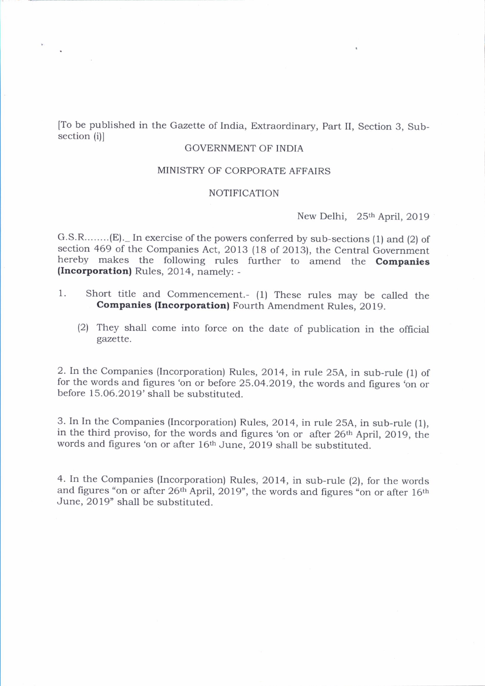To be published in the Gazette of India, Extraordinary, Part II, Section 3, Subsection (i)l

## GOVERNMENT OF INDIA

### MINISTRY OF CORPORATE AFFAIRS

### NOTIFICATION

New Delhi, 25<sup>th</sup> April, 2019

G.S.R........(E).\_ In exercise of the powers conferred by sub-sections (1) and (2) of section 469 of the Companies Act, 2013 (18 of 2013), the Central Government hereby makes the following rules further to amend the **Companies** (Incorporation) Rules, 2014, namely: -

- 1. Short title and Commencement.- (1) These rules may be called the Companies (Incorporation) Fourth Amendment Rules, 2019.
	- (2) They shall come into force on the date of publication in the official gazette.

2. In the Companies (lncorporation) Rules, 2014, in rule 25A, in sub-rule (l) of for the words and figures 'on or before 25.04.2019, the words and figures 'on or before 15.06.2019' shall be substituted.

3. In In the Companies (Incorporation) Rules, 2014, in rule 25A, in sub-rule (1), in the third proviso, for the words and figures 'on or after 26<sup>th</sup> April, 2019, the words and figures'on or after 16th June, 2019 shall be substituted.

4. In the Companies (Incorporation) Rules, 2014, in sub-rule (2), for the words and figures "on or after 26<sup>th</sup> April, 2019", the words and figures "on or after 16<sup>th</sup> June, 2019' shall be substituted.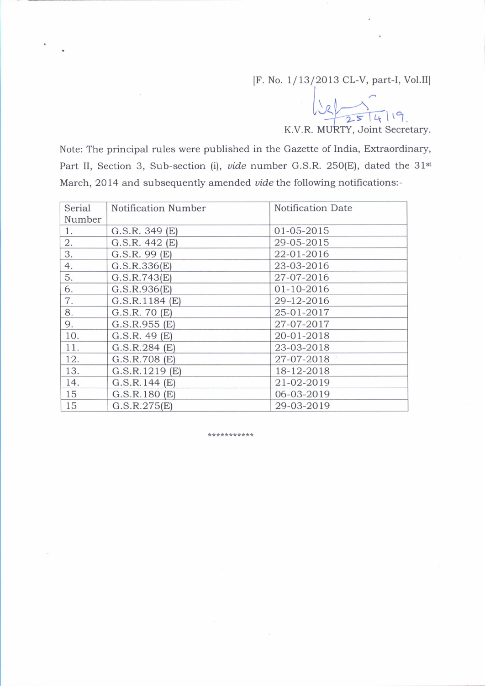[F. No. 1/13/2013 CL-V, part-I, Vol.II]

 $\bigcup_{\mathcal{S}}$ 

K.V.R. MURTY, Joint Secretary.

Note: The principal rules were published in the Gazette of India, Extraordinary, Part II, Section 3, Sub-section (i), *vide* number G.S.R. 250(E), dated the 31<sup>st</sup> March, 2014 and subsequently amended vide the following notifications:-

| Serial | Notification Number | Notification Date |
|--------|---------------------|-------------------|
| Number |                     |                   |
| 1.     | G.S.R. 349(E)       | 01-05-2015        |
| 2.     | G.S.R. 442(E)       | 29-05-2015        |
| 3.     | $G.S.R.$ 99 $(E)$   | 22-01-2016        |
| 4.     | G.S.R.336(E)        | 23-03-2016        |
| 5.     | G.S.R.743(E)        | 27-07-2016        |
| 6.     | G.S.R.936(E)        | 01-10-2016        |
| 7.     | G.S.R.1184(E)       | 29-12-2016        |
| 8.     | G.S.R. 70(E)        | 25-01-2017        |
| 9.     | G.S.R.955(E)        | 27-07-2017        |
| 10.    | G.S.R. 49(E)        | 20-01-2018        |
| 11.    | G.S.R.284(E)        | 23-03-2018        |
| 12.    | G.S.R.708(E)        | 27-07-2018        |
| 13.    | G.S.R.1219(E)       | 18-12-2018        |
| 14.    | G.S.R.144(E)        | 21-02-2019        |
| 15     | G.S.R.180(E)        | 06-03-2019        |
| 15     | G.S.R.275(E)        | 29-03-2019        |

#### \*\*\*\*\*\*\*\*\*\*\*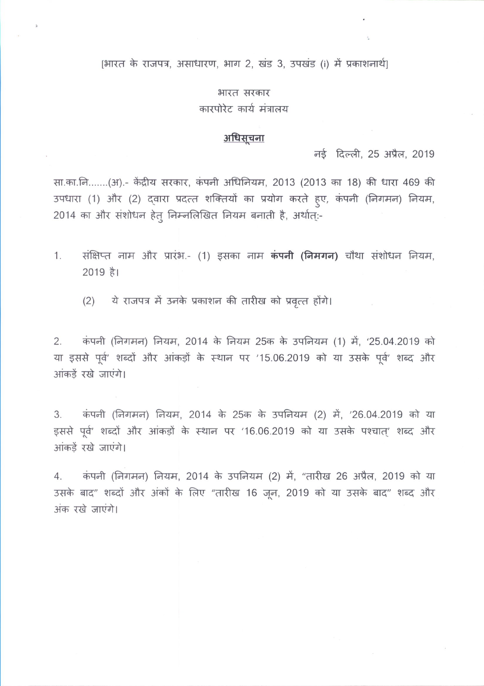## [भारत के राजपत्र, असाधारण, भाग 2, खंड 3, उपखंड (i) में प्रकाशनार्थ]

## भारत सरकार कारपोरेट कार्य मंत्रालय

# <u>अधिसूचना</u>

नई दिल्ली, 25 अप्रैल, 2019

सा.का.नि.......(अ).- केंद्रीय सरकार, कंपनी अधिनियम, 2013 (2013 का 18) की धारा 469 की उपधारा (1) और (2) दवारा प्रदत्त शक्तियों का प्रयोग करते हुए, कंपनी (निगमन) नियम, 2014 का और संशोधन हेत् निम्नलिखित नियम बनाती है, अर्थात्:-

- संक्षिप्त नाम और प्रारंभ.- (1) इसका नाम कंपनी (निमगन) चौथा संशोधन नियम,  $1.$ 2019 है।
	- ये राजपत्र में उनके प्रकाशन की तारीख को प्रवृत्त होंगे।  $(2)$

कंपनी (निगमन) नियम, 2014 के नियम 25क के उपनियम (1) में, '25.04.2019 को  $2.$ या इससे पूर्व' शब्दों और आंकड़ों के स्थान पर '15.06.2019 को या उसके पूर्व' शब्द और आंकड़ें रखे जाएंगे।

कंपनी (निगमन) नियम, 2014 के 25क के उपनियम (2) में, '26.04.2019 को या 3. इससे पूर्व' शब्दों और आंकड़ों के स्थान पर '16.06.2019 को या उसके पश्चात्' शब्द और आंकड़ें रखे जाएंगे।

कंपनी (निगमन) नियम, 2014 के उपनियम (2) में, "तारीख 26 अप्रैल, 2019 को या  $4_{\cdot}$ उसके बाद" शब्दों और अंकों के लिए "तारीख 16 जून, 2019 को या उसके बाद" शब्द और अंक रखे जाएंगे।